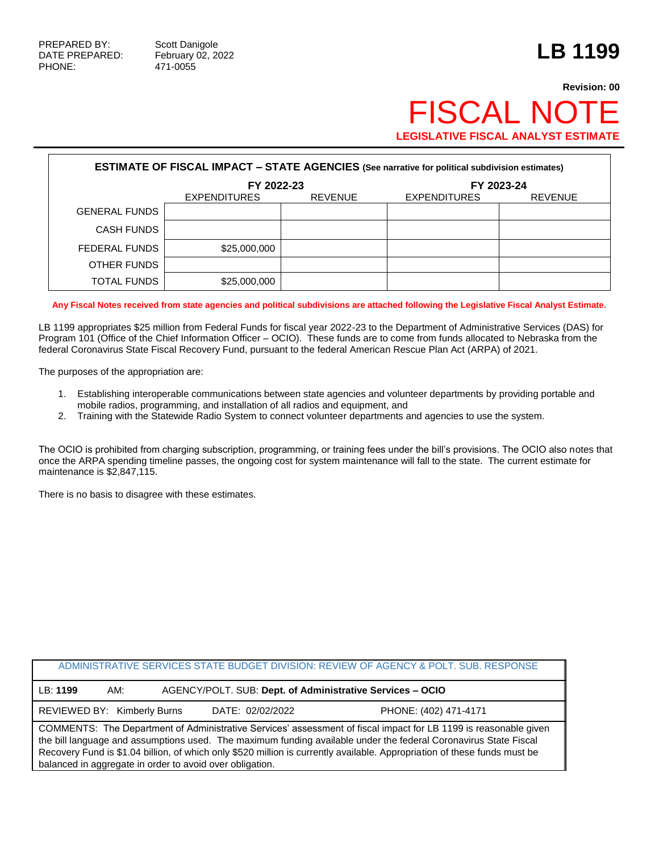## **Revision: 00 FISCAL NC LEGISLATIVE FISCAL ANALYST ESTIMATE**

| <b>ESTIMATE OF FISCAL IMPACT - STATE AGENCIES (See narrative for political subdivision estimates)</b> |                     |                |                     |                |  |  |
|-------------------------------------------------------------------------------------------------------|---------------------|----------------|---------------------|----------------|--|--|
|                                                                                                       | FY 2022-23          |                | FY 2023-24          |                |  |  |
|                                                                                                       | <b>EXPENDITURES</b> | <b>REVENUE</b> | <b>EXPENDITURES</b> | <b>REVENUE</b> |  |  |
| <b>GENERAL FUNDS</b>                                                                                  |                     |                |                     |                |  |  |
| <b>CASH FUNDS</b>                                                                                     |                     |                |                     |                |  |  |
| FEDERAL FUNDS                                                                                         | \$25,000,000        |                |                     |                |  |  |
| OTHER FUNDS                                                                                           |                     |                |                     |                |  |  |
| <b>TOTAL FUNDS</b>                                                                                    | \$25,000,000        |                |                     |                |  |  |

**Any Fiscal Notes received from state agencies and political subdivisions are attached following the Legislative Fiscal Analyst Estimate.**

LB 1199 appropriates \$25 million from Federal Funds for fiscal year 2022-23 to the Department of Administrative Services (DAS) for Program 101 (Office of the Chief Information Officer – OCIO). These funds are to come from funds allocated to Nebraska from the federal Coronavirus State Fiscal Recovery Fund, pursuant to the federal American Rescue Plan Act (ARPA) of 2021.

The purposes of the appropriation are:

- 1. Establishing interoperable communications between state agencies and volunteer departments by providing portable and mobile radios, programming, and installation of all radios and equipment, and
- 2. Training with the Statewide Radio System to connect volunteer departments and agencies to use the system.

The OCIO is prohibited from charging subscription, programming, or training fees under the bill's provisions. The OCIO also notes that once the ARPA spending timeline passes, the ongoing cost for system maintenance will fall to the state. The current estimate for maintenance is \$2,847,115.

There is no basis to disagree with these estimates.

| ADMINISTRATIVE SERVICES STATE BUDGET DIVISION: REVIEW OF AGENCY & POLT, SUB, RESPONSE                                                                                                                                                |     |  |                  |                                                           |  |
|--------------------------------------------------------------------------------------------------------------------------------------------------------------------------------------------------------------------------------------|-----|--|------------------|-----------------------------------------------------------|--|
|                                                                                                                                                                                                                                      |     |  |                  |                                                           |  |
| LB:1199                                                                                                                                                                                                                              | AM: |  |                  | AGENCY/POLT. SUB: Dept. of Administrative Services - OCIO |  |
| <b>REVIEWED BY: Kimberly Burns</b>                                                                                                                                                                                                   |     |  | DATE: 02/02/2022 | PHONE: (402) 471-4171                                     |  |
| COMMENTS: The Department of Administrative Services' assessment of fiscal impact for LB 1199 is reasonable given<br>the bill language and assumptions used. The maximum funding available under the federal Coronavirus State Fiscal |     |  |                  |                                                           |  |
| Recovery Fund is \$1.04 billion, of which only \$520 million is currently available. Appropriation of these funds must be                                                                                                            |     |  |                  |                                                           |  |
| balanced in aggregate in order to avoid over obligation.                                                                                                                                                                             |     |  |                  |                                                           |  |

balanced in aggregate in order to avoid over obligation.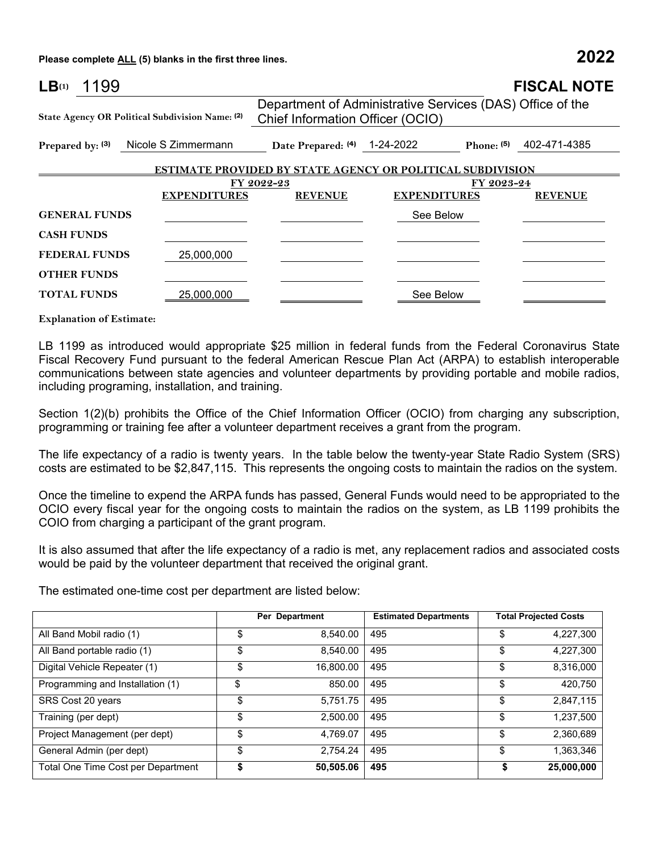**Please complete ALL (5) blanks in the first three lines. 2022**

| LB <sub>(1)</sub><br>1199 |                                                 |                                                                                               |                                                                   | <b>FISCAL NOTE</b> |  |  |
|---------------------------|-------------------------------------------------|-----------------------------------------------------------------------------------------------|-------------------------------------------------------------------|--------------------|--|--|
|                           | State Agency OR Political Subdivision Name: (2) | Department of Administrative Services (DAS) Office of the<br>Chief Information Officer (OCIO) |                                                                   |                    |  |  |
| Prepared by: $(3)$        | Nicole S Zimmermann                             | Date Prepared: (4) 1-24-2022                                                                  | Phone: $(5)$                                                      | 402-471-4385       |  |  |
|                           |                                                 |                                                                                               | <b>ESTIMATE PROVIDED BY STATE AGENCY OR POLITICAL SUBDIVISION</b> |                    |  |  |
|                           |                                                 | FY 2022-23                                                                                    |                                                                   | FY 2023-24         |  |  |
|                           | <b>EXPENDITURES</b>                             | <b>REVENUE</b>                                                                                | <b>EXPENDITURES</b>                                               | <b>REVENUE</b>     |  |  |
| <b>GENERAL FUNDS</b>      |                                                 |                                                                                               | See Below                                                         |                    |  |  |
| <b>CASH FUNDS</b>         |                                                 |                                                                                               |                                                                   |                    |  |  |
| <b>FEDERAL FUNDS</b>      | 25,000,000                                      |                                                                                               |                                                                   |                    |  |  |
| <b>OTHER FUNDS</b>        |                                                 |                                                                                               |                                                                   |                    |  |  |
| <b>TOTAL FUNDS</b>        | 25,000,000                                      |                                                                                               | See Below                                                         |                    |  |  |

**Explanation of Estimate:**

LB 1199 as introduced would appropriate \$25 million in federal funds from the Federal Coronavirus State Fiscal Recovery Fund pursuant to the federal American Rescue Plan Act (ARPA) to establish interoperable communications between state agencies and volunteer departments by providing portable and mobile radios, including programing, installation, and training.

Section 1(2)(b) prohibits the Office of the Chief Information Officer (OCIO) from charging any subscription, programming or training fee after a volunteer department receives a grant from the program.

The life expectancy of a radio is twenty years. In the table below the twenty-year State Radio System (SRS) costs are estimated to be \$2,847,115. This represents the ongoing costs to maintain the radios on the system.

Once the timeline to expend the ARPA funds has passed, General Funds would need to be appropriated to the OCIO every fiscal year for the ongoing costs to maintain the radios on the system, as LB 1199 prohibits the COIO from charging a participant of the grant program.

It is also assumed that after the life expectancy of a radio is met, any replacement radios and associated costs would be paid by the volunteer department that received the original grant.

The estimated one-time cost per department are listed below:

|                                    | Per Department  | <b>Estimated Departments</b> | <b>Total Projected Costs</b> |            |
|------------------------------------|-----------------|------------------------------|------------------------------|------------|
| All Band Mobil radio (1)           | 8.540.00        | 495                          | \$                           | 4,227,300  |
| All Band portable radio (1)        | 8,540.00        | 495                          | S                            | 4,227,300  |
| Digital Vehicle Repeater (1)       | \$<br>16,800.00 | 495                          | \$                           | 8,316,000  |
| Programming and Installation (1)   | \$<br>850.00    | 495                          | \$                           | 420,750    |
| SRS Cost 20 years                  | \$<br>5.751.75  | 495                          | \$                           | 2,847,115  |
| Training (per dept)                | 2,500.00        | 495                          | \$                           | 1,237,500  |
| Project Management (per dept)      | 4,769.07        | 495                          | \$                           | 2,360,689  |
| General Admin (per dept)           | 2.754.24        | 495                          | \$                           | 1,363,346  |
| Total One Time Cost per Department | 50,505.06       | 495                          | \$                           | 25,000,000 |